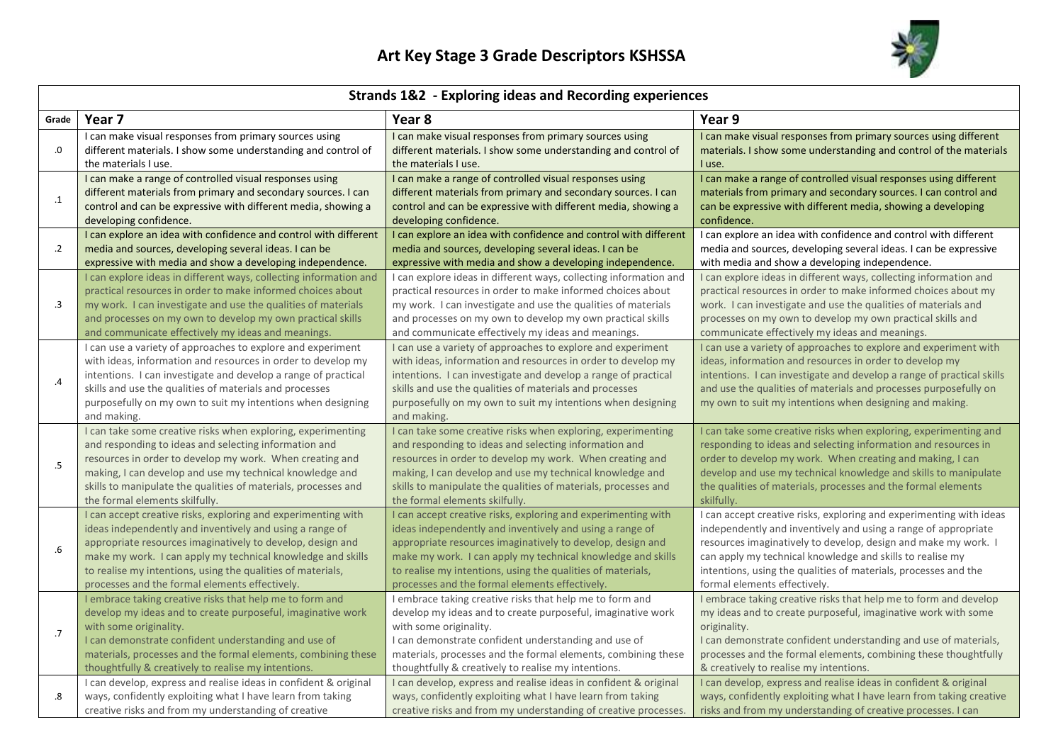

| <b>Strands 1&amp;2 - Exploring ideas and Recording experiences</b> |                                                                                                                                                                                                                                                                                                                                        |                                                                                                                                                                                                                                                                                                                                        |                                                                                                                                                                                                                                                                                                                                     |  |  |
|--------------------------------------------------------------------|----------------------------------------------------------------------------------------------------------------------------------------------------------------------------------------------------------------------------------------------------------------------------------------------------------------------------------------|----------------------------------------------------------------------------------------------------------------------------------------------------------------------------------------------------------------------------------------------------------------------------------------------------------------------------------------|-------------------------------------------------------------------------------------------------------------------------------------------------------------------------------------------------------------------------------------------------------------------------------------------------------------------------------------|--|--|
| Grade                                                              | Year 7                                                                                                                                                                                                                                                                                                                                 | Year 8                                                                                                                                                                                                                                                                                                                                 | Year 9                                                                                                                                                                                                                                                                                                                              |  |  |
| .0                                                                 | I can make visual responses from primary sources using                                                                                                                                                                                                                                                                                 | I can make visual responses from primary sources using                                                                                                                                                                                                                                                                                 | I can make visual responses from primary sources using different                                                                                                                                                                                                                                                                    |  |  |
|                                                                    | different materials. I show some understanding and control of                                                                                                                                                                                                                                                                          | different materials. I show some understanding and control of                                                                                                                                                                                                                                                                          | materials. I show some understanding and control of the materials                                                                                                                                                                                                                                                                   |  |  |
|                                                                    | the materials I use.                                                                                                                                                                                                                                                                                                                   | the materials I use.                                                                                                                                                                                                                                                                                                                   | I use.                                                                                                                                                                                                                                                                                                                              |  |  |
| $\cdot$ 1                                                          | I can make a range of controlled visual responses using                                                                                                                                                                                                                                                                                | I can make a range of controlled visual responses using                                                                                                                                                                                                                                                                                | I can make a range of controlled visual responses using different                                                                                                                                                                                                                                                                   |  |  |
|                                                                    | different materials from primary and secondary sources. I can                                                                                                                                                                                                                                                                          | different materials from primary and secondary sources. I can                                                                                                                                                                                                                                                                          | materials from primary and secondary sources. I can control and                                                                                                                                                                                                                                                                     |  |  |
|                                                                    | control and can be expressive with different media, showing a                                                                                                                                                                                                                                                                          | control and can be expressive with different media, showing a                                                                                                                                                                                                                                                                          | can be expressive with different media, showing a developing                                                                                                                                                                                                                                                                        |  |  |
|                                                                    | developing confidence.                                                                                                                                                                                                                                                                                                                 | developing confidence.                                                                                                                                                                                                                                                                                                                 | confidence.                                                                                                                                                                                                                                                                                                                         |  |  |
| $\cdot$                                                            | I can explore an idea with confidence and control with different                                                                                                                                                                                                                                                                       | I can explore an idea with confidence and control with different                                                                                                                                                                                                                                                                       | I can explore an idea with confidence and control with different                                                                                                                                                                                                                                                                    |  |  |
|                                                                    | media and sources, developing several ideas. I can be                                                                                                                                                                                                                                                                                  | media and sources, developing several ideas. I can be                                                                                                                                                                                                                                                                                  | media and sources, developing several ideas. I can be expressive                                                                                                                                                                                                                                                                    |  |  |
|                                                                    | expressive with media and show a developing independence.                                                                                                                                                                                                                                                                              | expressive with media and show a developing independence.                                                                                                                                                                                                                                                                              | with media and show a developing independence.                                                                                                                                                                                                                                                                                      |  |  |
| $\cdot$ 3                                                          | I can explore ideas in different ways, collecting information and                                                                                                                                                                                                                                                                      | I can explore ideas in different ways, collecting information and                                                                                                                                                                                                                                                                      | I can explore ideas in different ways, collecting information and                                                                                                                                                                                                                                                                   |  |  |
|                                                                    | practical resources in order to make informed choices about                                                                                                                                                                                                                                                                            | practical resources in order to make informed choices about                                                                                                                                                                                                                                                                            | practical resources in order to make informed choices about my                                                                                                                                                                                                                                                                      |  |  |
|                                                                    | my work. I can investigate and use the qualities of materials                                                                                                                                                                                                                                                                          | my work. I can investigate and use the qualities of materials                                                                                                                                                                                                                                                                          | work. I can investigate and use the qualities of materials and                                                                                                                                                                                                                                                                      |  |  |
|                                                                    | and processes on my own to develop my own practical skills                                                                                                                                                                                                                                                                             | and processes on my own to develop my own practical skills                                                                                                                                                                                                                                                                             | processes on my own to develop my own practical skills and                                                                                                                                                                                                                                                                          |  |  |
|                                                                    | and communicate effectively my ideas and meanings.                                                                                                                                                                                                                                                                                     | and communicate effectively my ideas and meanings.                                                                                                                                                                                                                                                                                     | communicate effectively my ideas and meanings.                                                                                                                                                                                                                                                                                      |  |  |
| .4                                                                 | I can use a variety of approaches to explore and experiment<br>with ideas, information and resources in order to develop my<br>intentions. I can investigate and develop a range of practical<br>skills and use the qualities of materials and processes<br>purposefully on my own to suit my intentions when designing<br>and making. | I can use a variety of approaches to explore and experiment<br>with ideas, information and resources in order to develop my<br>intentions. I can investigate and develop a range of practical<br>skills and use the qualities of materials and processes<br>purposefully on my own to suit my intentions when designing<br>and making. | I can use a variety of approaches to explore and experiment with<br>ideas, information and resources in order to develop my<br>intentions. I can investigate and develop a range of practical skills<br>and use the qualities of materials and processes purposefully on<br>my own to suit my intentions when designing and making. |  |  |
| $.5\,$                                                             | I can take some creative risks when exploring, experimenting                                                                                                                                                                                                                                                                           | I can take some creative risks when exploring, experimenting                                                                                                                                                                                                                                                                           | I can take some creative risks when exploring, experimenting and                                                                                                                                                                                                                                                                    |  |  |
|                                                                    | and responding to ideas and selecting information and                                                                                                                                                                                                                                                                                  | and responding to ideas and selecting information and                                                                                                                                                                                                                                                                                  | responding to ideas and selecting information and resources in                                                                                                                                                                                                                                                                      |  |  |
|                                                                    | resources in order to develop my work. When creating and                                                                                                                                                                                                                                                                               | resources in order to develop my work. When creating and                                                                                                                                                                                                                                                                               | order to develop my work. When creating and making, I can                                                                                                                                                                                                                                                                           |  |  |
|                                                                    | making, I can develop and use my technical knowledge and                                                                                                                                                                                                                                                                               | making, I can develop and use my technical knowledge and                                                                                                                                                                                                                                                                               | develop and use my technical knowledge and skills to manipulate                                                                                                                                                                                                                                                                     |  |  |
|                                                                    | skills to manipulate the qualities of materials, processes and                                                                                                                                                                                                                                                                         | skills to manipulate the qualities of materials, processes and                                                                                                                                                                                                                                                                         | the qualities of materials, processes and the formal elements                                                                                                                                                                                                                                                                       |  |  |
|                                                                    | the formal elements skilfully.                                                                                                                                                                                                                                                                                                         | the formal elements skilfully.                                                                                                                                                                                                                                                                                                         | skilfully.                                                                                                                                                                                                                                                                                                                          |  |  |
| .6                                                                 | I can accept creative risks, exploring and experimenting with                                                                                                                                                                                                                                                                          | I can accept creative risks, exploring and experimenting with                                                                                                                                                                                                                                                                          | I can accept creative risks, exploring and experimenting with ideas                                                                                                                                                                                                                                                                 |  |  |
|                                                                    | ideas independently and inventively and using a range of                                                                                                                                                                                                                                                                               | ideas independently and inventively and using a range of                                                                                                                                                                                                                                                                               | independently and inventively and using a range of appropriate                                                                                                                                                                                                                                                                      |  |  |
|                                                                    | appropriate resources imaginatively to develop, design and                                                                                                                                                                                                                                                                             | appropriate resources imaginatively to develop, design and                                                                                                                                                                                                                                                                             | resources imaginatively to develop, design and make my work. I                                                                                                                                                                                                                                                                      |  |  |
|                                                                    | make my work. I can apply my technical knowledge and skills                                                                                                                                                                                                                                                                            | make my work. I can apply my technical knowledge and skills                                                                                                                                                                                                                                                                            | can apply my technical knowledge and skills to realise my                                                                                                                                                                                                                                                                           |  |  |
|                                                                    | to realise my intentions, using the qualities of materials,                                                                                                                                                                                                                                                                            | to realise my intentions, using the qualities of materials,                                                                                                                                                                                                                                                                            | intentions, using the qualities of materials, processes and the                                                                                                                                                                                                                                                                     |  |  |
|                                                                    | processes and the formal elements effectively.                                                                                                                                                                                                                                                                                         | processes and the formal elements effectively.                                                                                                                                                                                                                                                                                         | formal elements effectively.                                                                                                                                                                                                                                                                                                        |  |  |
| .7                                                                 | I embrace taking creative risks that help me to form and                                                                                                                                                                                                                                                                               | I embrace taking creative risks that help me to form and                                                                                                                                                                                                                                                                               | I embrace taking creative risks that help me to form and develop                                                                                                                                                                                                                                                                    |  |  |
|                                                                    | develop my ideas and to create purposeful, imaginative work                                                                                                                                                                                                                                                                            | develop my ideas and to create purposeful, imaginative work                                                                                                                                                                                                                                                                            | my ideas and to create purposeful, imaginative work with some                                                                                                                                                                                                                                                                       |  |  |
|                                                                    | with some originality.                                                                                                                                                                                                                                                                                                                 | with some originality.                                                                                                                                                                                                                                                                                                                 | originality.                                                                                                                                                                                                                                                                                                                        |  |  |
|                                                                    | I can demonstrate confident understanding and use of                                                                                                                                                                                                                                                                                   | I can demonstrate confident understanding and use of                                                                                                                                                                                                                                                                                   | I can demonstrate confident understanding and use of materials,                                                                                                                                                                                                                                                                     |  |  |
|                                                                    | materials, processes and the formal elements, combining these                                                                                                                                                                                                                                                                          | materials, processes and the formal elements, combining these                                                                                                                                                                                                                                                                          | processes and the formal elements, combining these thoughtfully                                                                                                                                                                                                                                                                     |  |  |
|                                                                    | thoughtfully & creatively to realise my intentions.                                                                                                                                                                                                                                                                                    | thoughtfully & creatively to realise my intentions.                                                                                                                                                                                                                                                                                    | & creatively to realise my intentions.                                                                                                                                                                                                                                                                                              |  |  |
| .8                                                                 | I can develop, express and realise ideas in confident & original                                                                                                                                                                                                                                                                       | I can develop, express and realise ideas in confident & original                                                                                                                                                                                                                                                                       | I can develop, express and realise ideas in confident & original                                                                                                                                                                                                                                                                    |  |  |
|                                                                    | ways, confidently exploiting what I have learn from taking                                                                                                                                                                                                                                                                             | ways, confidently exploiting what I have learn from taking                                                                                                                                                                                                                                                                             | ways, confidently exploiting what I have learn from taking creative                                                                                                                                                                                                                                                                 |  |  |
|                                                                    | creative risks and from my understanding of creative                                                                                                                                                                                                                                                                                   | creative risks and from my understanding of creative processes.                                                                                                                                                                                                                                                                        | risks and from my understanding of creative processes. I can                                                                                                                                                                                                                                                                        |  |  |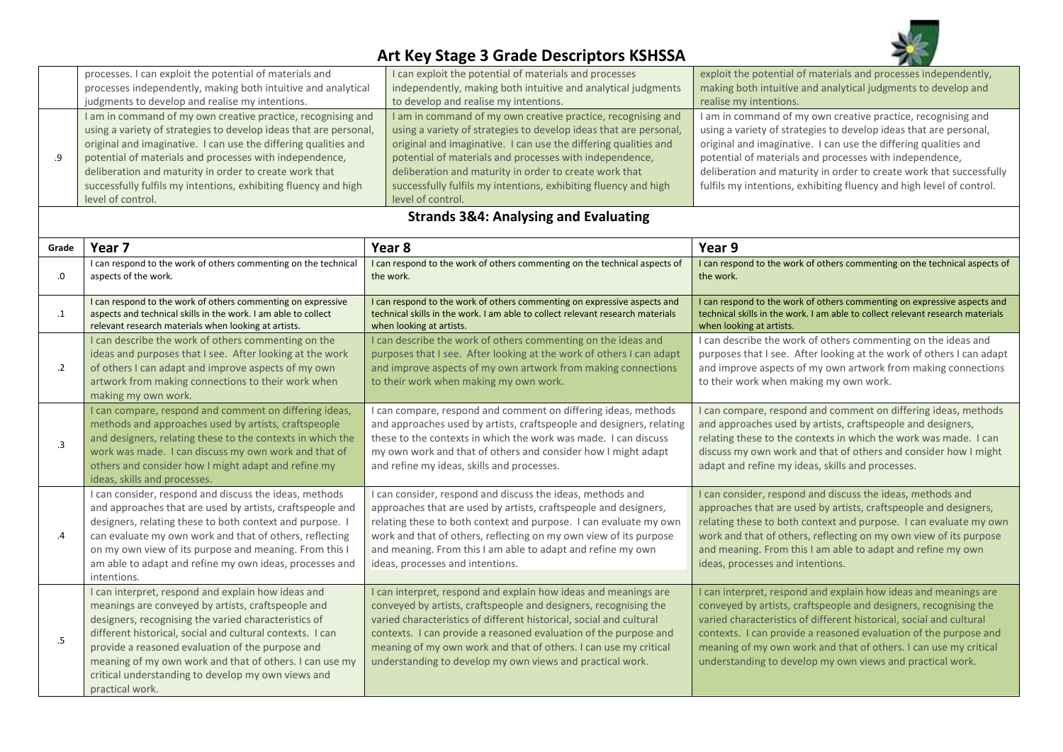

## **Art Key Stage 3 Grade Descriptors KSHSSA**

| processes. I can exploit the potential of materials and           | I can exploit the potential of materials and processes            | exploit the potential of materials and processes independently,      |
|-------------------------------------------------------------------|-------------------------------------------------------------------|----------------------------------------------------------------------|
| processes independently, making both intuitive and analytical     | independently, making both intuitive and analytical judgments     | making both intuitive and analytical judgments to develop and        |
| judgments to develop and realise my intentions.                   | to develop and realise my intentions.                             | realise my intentions.                                               |
| I am in command of my own creative practice, recognising and      | I am in command of my own creative practice, recognising and      | I am in command of my own creative practice, recognising and         |
| using a variety of strategies to develop ideas that are personal, | using a variety of strategies to develop ideas that are personal, | using a variety of strategies to develop ideas that are personal,    |
| original and imaginative. I can use the differing qualities and   | original and imaginative. I can use the differing qualities and   | original and imaginative. I can use the differing qualities and      |
| potential of materials and processes with independence,           | potential of materials and processes with independence,           | potential of materials and processes with independence,              |
| deliberation and maturity in order to create work that            | deliberation and maturity in order to create work that            | deliberation and maturity in order to create work that successfully  |
| successfully fulfils my intentions, exhibiting fluency and high   | successfully fulfils my intentions, exhibiting fluency and high   | fulfils my intentions, exhibiting fluency and high level of control. |
| level of control.                                                 | level of control.                                                 |                                                                      |

## **Strands 3&4: Analysing and Evaluating**

| Grade      | Year <sub>7</sub>                                                                                                                                                                                                                                                                                                                                                                                                     | Year 8                                                                                                                                                                                                                                                                                                                                                                                                          | Year 9                                                                                                                                                                                                                                                                                                                                                                                                          |
|------------|-----------------------------------------------------------------------------------------------------------------------------------------------------------------------------------------------------------------------------------------------------------------------------------------------------------------------------------------------------------------------------------------------------------------------|-----------------------------------------------------------------------------------------------------------------------------------------------------------------------------------------------------------------------------------------------------------------------------------------------------------------------------------------------------------------------------------------------------------------|-----------------------------------------------------------------------------------------------------------------------------------------------------------------------------------------------------------------------------------------------------------------------------------------------------------------------------------------------------------------------------------------------------------------|
| .0         | I can respond to the work of others commenting on the technical<br>aspects of the work.                                                                                                                                                                                                                                                                                                                               | I can respond to the work of others commenting on the technical aspects of<br>the work.                                                                                                                                                                                                                                                                                                                         | I can respond to the work of others commenting on the technical aspects of<br>the work.                                                                                                                                                                                                                                                                                                                         |
| $\cdot$ 1  | I can respond to the work of others commenting on expressive<br>aspects and technical skills in the work. I am able to collect<br>relevant research materials when looking at artists.                                                                                                                                                                                                                                | I can respond to the work of others commenting on expressive aspects and<br>technical skills in the work. I am able to collect relevant research materials<br>when looking at artists.                                                                                                                                                                                                                          | I can respond to the work of others commenting on expressive aspects and<br>technical skills in the work. I am able to collect relevant research materials<br>when looking at artists.                                                                                                                                                                                                                          |
| $\cdot$ .2 | I can describe the work of others commenting on the<br>ideas and purposes that I see. After looking at the work<br>of others I can adapt and improve aspects of my own<br>artwork from making connections to their work when<br>making my own work.                                                                                                                                                                   | I can describe the work of others commenting on the ideas and<br>purposes that I see. After looking at the work of others I can adapt<br>and improve aspects of my own artwork from making connections<br>to their work when making my own work.                                                                                                                                                                | I can describe the work of others commenting on the ideas and<br>purposes that I see. After looking at the work of others I can adapt<br>and improve aspects of my own artwork from making connections<br>to their work when making my own work.                                                                                                                                                                |
| $\cdot$ 3  | I can compare, respond and comment on differing ideas,<br>methods and approaches used by artists, craftspeople<br>and designers, relating these to the contexts in which the<br>work was made. I can discuss my own work and that of<br>others and consider how I might adapt and refine my<br>ideas, skills and processes.                                                                                           | I can compare, respond and comment on differing ideas, methods<br>and approaches used by artists, craftspeople and designers, relating<br>these to the contexts in which the work was made. I can discuss<br>my own work and that of others and consider how I might adapt<br>and refine my ideas, skills and processes.                                                                                        | I can compare, respond and comment on differing ideas, methods<br>and approaches used by artists, craftspeople and designers,<br>relating these to the contexts in which the work was made. I can<br>discuss my own work and that of others and consider how I might<br>adapt and refine my ideas, skills and processes.                                                                                        |
| .4         | I can consider, respond and discuss the ideas, methods<br>and approaches that are used by artists, craftspeople and<br>designers, relating these to both context and purpose. I<br>can evaluate my own work and that of others, reflecting<br>on my own view of its purpose and meaning. From this I<br>am able to adapt and refine my own ideas, processes and<br>intentions.                                        | I can consider, respond and discuss the ideas, methods and<br>approaches that are used by artists, craftspeople and designers,<br>relating these to both context and purpose. I can evaluate my own<br>work and that of others, reflecting on my own view of its purpose<br>and meaning. From this I am able to adapt and refine my own<br>ideas, processes and intentions.                                     | I can consider, respond and discuss the ideas, methods and<br>approaches that are used by artists, craftspeople and designers,<br>relating these to both context and purpose. I can evaluate my own<br>work and that of others, reflecting on my own view of its purpose<br>and meaning. From this I am able to adapt and refine my own<br>ideas, processes and intentions.                                     |
| .5         | I can interpret, respond and explain how ideas and<br>meanings are conveyed by artists, craftspeople and<br>designers, recognising the varied characteristics of<br>different historical, social and cultural contexts. I can<br>provide a reasoned evaluation of the purpose and<br>meaning of my own work and that of others. I can use my<br>critical understanding to develop my own views and<br>practical work. | I can interpret, respond and explain how ideas and meanings are<br>conveyed by artists, craftspeople and designers, recognising the<br>varied characteristics of different historical, social and cultural<br>contexts. I can provide a reasoned evaluation of the purpose and<br>meaning of my own work and that of others. I can use my critical<br>understanding to develop my own views and practical work. | I can interpret, respond and explain how ideas and meanings are<br>conveyed by artists, craftspeople and designers, recognising the<br>varied characteristics of different historical, social and cultural<br>contexts. I can provide a reasoned evaluation of the purpose and<br>meaning of my own work and that of others. I can use my critical<br>understanding to develop my own views and practical work. |